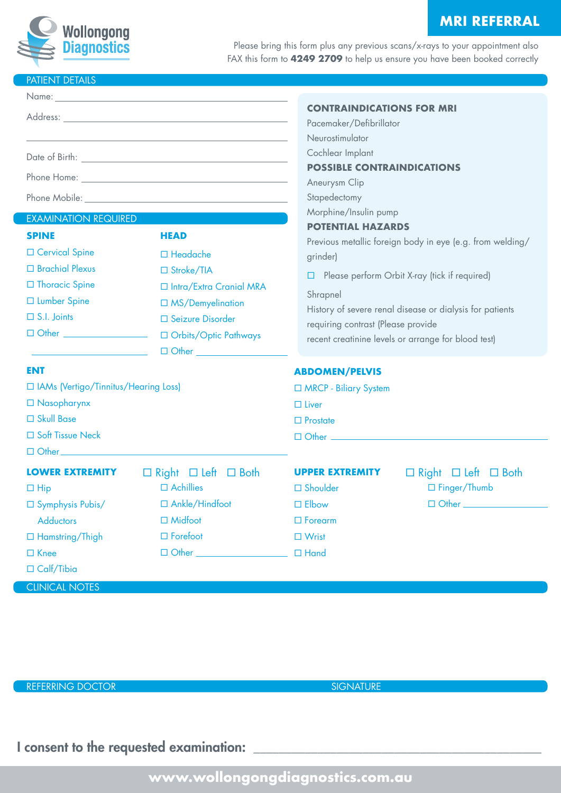# **MRI REFERRAL**



Please bring this form plus any previous scans/x-rays to your appointment also FAX this form to **4249 2709** to help us ensure you have been booked correctly

# PATIENT DETAILS

|                                                                                                                                                                               |                                                                                                                                                                                                                                                                                                                                                                                      | <b>CONTRAINDICATIONS FOR MRI</b><br>Pacemaker/Defibrillator<br>Neurostimulator                                                                                                                                                                                                                                                                                                                                                                  |  |
|-------------------------------------------------------------------------------------------------------------------------------------------------------------------------------|--------------------------------------------------------------------------------------------------------------------------------------------------------------------------------------------------------------------------------------------------------------------------------------------------------------------------------------------------------------------------------------|-------------------------------------------------------------------------------------------------------------------------------------------------------------------------------------------------------------------------------------------------------------------------------------------------------------------------------------------------------------------------------------------------------------------------------------------------|--|
| <b>EXAMINATION REQUIRED</b><br><b>SPINE</b><br>□ Cervical Spine<br>□ Brachial Plexus<br>□ Thoracic Spine<br>□ Lumber Spine<br>$\Box$ S.I. Joints<br>□ Other _________________ | Phone Mobile: And the state of the state of the state of the state of the state of the state of the state of the state of the state of the state of the state of the state of the state of the state of the state of the state<br><b>HEAD</b><br>$\Box$ Headache<br>□ Stroke/TIA<br>□ Intra/Extra Cranial MRA<br>□ MS/Demyelination<br>□ Seizure Disorder<br>□ Orbits/Optic Pathways | Cochlear Implant<br><b>POSSIBLE CONTRAINDICATIONS</b><br>Aneurysm Clip<br>Stapedectomy<br>Morphine/Insulin pump<br><b>POTENTIAL HAZARDS</b><br>Previous metallic foreign body in eye (e.g. from welding/<br>grinder)<br>Please perform Orbit X-ray (tick if required)<br>□<br>Shrapnel<br>History of severe renal disease or dialysis for patients<br>requiring contrast (Please provide<br>recent creatinine levels or arrange for blood test) |  |
| $\Box$ Other $\Box$<br>ENT<br>□ IAMs (Vertigo/Tinnitus/Hearing Loss)<br>$\Box$ Nasopharynx<br>□ Skull Base<br>□ Soft Tissue Neck                                              |                                                                                                                                                                                                                                                                                                                                                                                      | <b>ABDOMEN/PELVIS</b><br>□ MRCP - Biliary System<br>$\Box$ Liver<br>$\Box$ Prostate<br>口 Other ______________________                                                                                                                                                                                                                                                                                                                           |  |
| <b>LOWER EXTREMITY</b><br>$\Box$ Hip<br>$\square$ Symphysis Pubis/<br><b>Adductors</b><br>□ Hamstring/Thigh<br>$\Box$ Knee<br>$\Box$ Calf/Tibia                               | $\Box$ Right $\Box$ Left $\Box$ Both<br>$\Box$ Achillies<br>□ Ankle/Hindfoot<br>$\Box$ Midfoot<br>$\Box$ Forefoot<br>□ Other <u>_________________</u>                                                                                                                                                                                                                                | <b>UPPER EXTREMITY</b><br>$\Box$ Right $\Box$ Left $\Box$ Both<br>□ Finger/Thumb<br>$\square$ Shoulder<br>$\Box$ Other $\Box$<br>$\square$ Elbow<br>$\Box$ Forearm<br>$\Box$ Wrist<br>$\Box$ Hand                                                                                                                                                                                                                                               |  |

CLINICAL NOTES

REFERRING DOCTOR SIGNATURE

I consent to the requested examination: